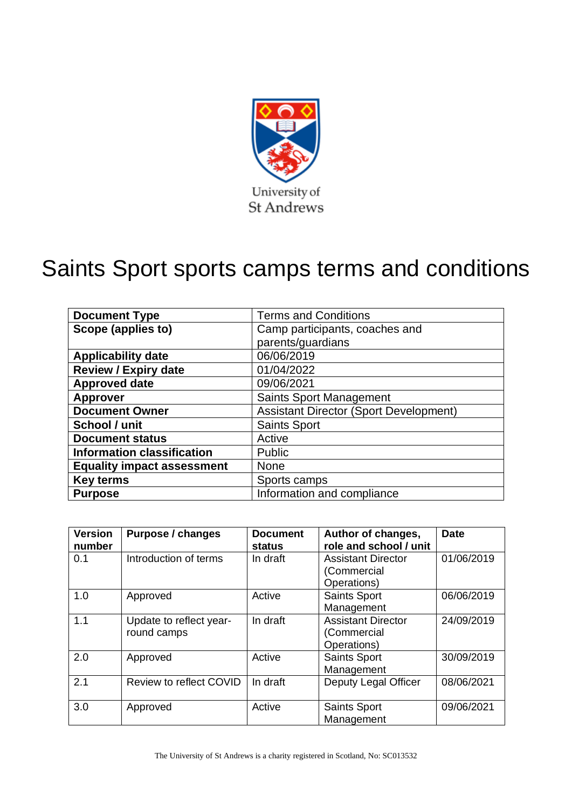

# Saints Sport sports camps terms and conditions

| <b>Document Type</b>              | <b>Terms and Conditions</b>                   |  |  |  |
|-----------------------------------|-----------------------------------------------|--|--|--|
| Scope (applies to)                | Camp participants, coaches and                |  |  |  |
|                                   | parents/guardians                             |  |  |  |
| <b>Applicability date</b>         | 06/06/2019                                    |  |  |  |
| <b>Review / Expiry date</b>       | 01/04/2022                                    |  |  |  |
| <b>Approved date</b>              | 09/06/2021                                    |  |  |  |
| <b>Approver</b>                   | <b>Saints Sport Management</b>                |  |  |  |
| <b>Document Owner</b>             | <b>Assistant Director (Sport Development)</b> |  |  |  |
| School / unit                     | <b>Saints Sport</b>                           |  |  |  |
| <b>Document status</b>            | Active                                        |  |  |  |
| <b>Information classification</b> | Public                                        |  |  |  |
| <b>Equality impact assessment</b> | <b>None</b>                                   |  |  |  |
| <b>Key terms</b>                  | Sports camps                                  |  |  |  |
| <b>Purpose</b>                    | Information and compliance                    |  |  |  |

| <b>Version</b><br>number | <b>Purpose / changes</b>               | <b>Document</b><br>status | Author of changes,<br>role and school / unit            | <b>Date</b> |
|--------------------------|----------------------------------------|---------------------------|---------------------------------------------------------|-------------|
| 0.1                      | Introduction of terms                  | In draft                  | <b>Assistant Director</b><br>(Commercial<br>Operations) | 01/06/2019  |
| 1.0                      | Approved                               | Active                    | Saints Sport<br>Management                              | 06/06/2019  |
| 1.1                      | Update to reflect year-<br>round camps | In draft                  | <b>Assistant Director</b><br>(Commercial<br>Operations) | 24/09/2019  |
| 2.0                      | Approved                               | Active                    | <b>Saints Sport</b><br>Management                       | 30/09/2019  |
| 2.1                      | Review to reflect COVID                | In draft                  | Deputy Legal Officer                                    | 08/06/2021  |
| 3.0                      | Approved                               | Active                    | <b>Saints Sport</b><br>Management                       | 09/06/2021  |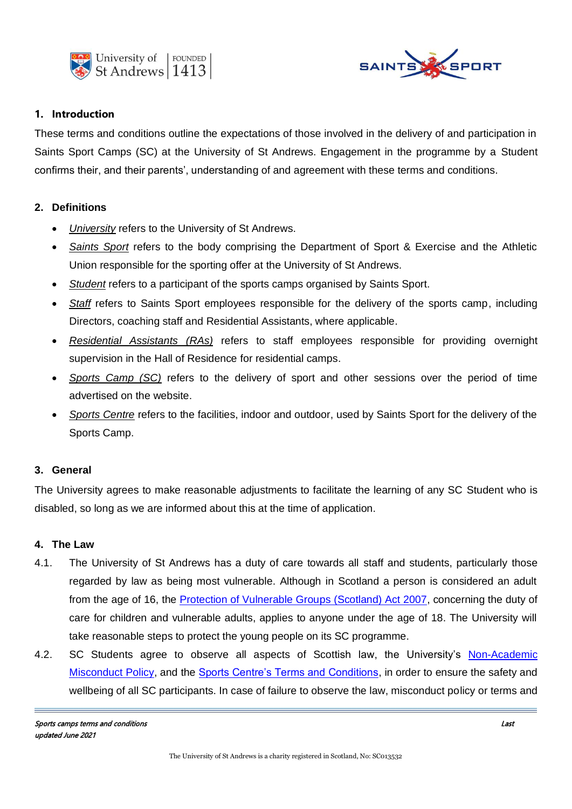



## **1. Introduction**

These terms and conditions outline the expectations of those involved in the delivery of and participation in Saints Sport Camps (SC) at the University of St Andrews. Engagement in the programme by a Student confirms their, and their parents', understanding of and agreement with these terms and conditions.

# **2. Definitions**

- *University* refers to the University of St Andrews.
- *Saints Sport* refers to the body comprising the Department of Sport & Exercise and the Athletic Union responsible for the sporting offer at the University of St Andrews.
- *Student* refers to a participant of the sports camps organised by Saints Sport.
- *Staff* refers to Saints Sport employees responsible for the delivery of the sports camp, including Directors, coaching staff and Residential Assistants, where applicable.
- *Residential Assistants (RAs)* refers to staff employees responsible for providing overnight supervision in the Hall of Residence for residential camps.
- *Sports Camp (SC)* refers to the delivery of sport and other sessions over the period of time advertised on the website.
- *Sports Centre* refers to the facilities, indoor and outdoor, used by Saints Sport for the delivery of the Sports Camp.

# **3. General**

The University agrees to make reasonable adjustments to facilitate the learning of any SC Student who is disabled, so long as we are informed about this at the time of application.

#### **4. The Law**

- 4.1. The University of St Andrews has a duty of care towards all staff and students, particularly those regarded by law as being most vulnerable. Although in Scotland a person is considered an adult from the age of 16, the [Protection of Vulnerable Groups \(Scotland\) Act 2007,](https://www.legislation.gov.uk/asp/2007/14/contents) concerning the duty of care for children and vulnerable adults, applies to anyone under the age of 18. The University will take reasonable steps to protect the young people on its SC programme.
- 4.2. SC Students agree to observe all aspects of Scottish law, the University's [Non-Academic](https://www.st-andrews.ac.uk/media/student-services/documents/Non-Academic%20Misconduct%20Policy.pdf)  [Misconduct Policy,](https://www.st-andrews.ac.uk/media/student-services/documents/Non-Academic%20Misconduct%20Policy.pdf) and the [Sports Centre's Terms and Conditions,](https://www.st-andrews.ac.uk/media/saints-sport/documents/termsconditions/10.%20Sports%20Centre%20terms%20and%20conditions.pdf) in order to ensure the safety and wellbeing of all SC participants. In case of failure to observe the law, misconduct policy or terms and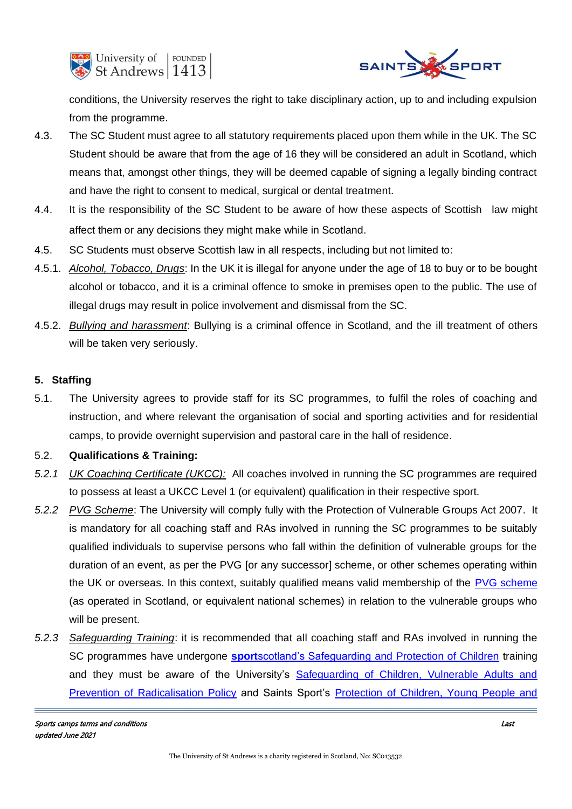



conditions, the University reserves the right to take disciplinary action, up to and including expulsion from the programme.

- 4.3. The SC Student must agree to all statutory requirements placed upon them while in the UK. The SC Student should be aware that from the age of 16 they will be considered an adult in Scotland, which means that, amongst other things, they will be deemed capable of signing a legally binding contract and have the right to consent to medical, surgical or dental treatment.
- 4.4. It is the responsibility of the SC Student to be aware of how these aspects of Scottish law might affect them or any decisions they might make while in Scotland.
- 4.5. SC Students must observe Scottish law in all respects, including but not limited to:
- 4.5.1. *Alcohol, Tobacco, Drugs*: In the UK it is illegal for anyone under the age of 18 to buy or to be bought alcohol or tobacco, and it is a criminal offence to smoke in premises open to the public. The use of illegal drugs may result in police involvement and dismissal from the SC.
- 4.5.2. *Bullying and harassment*: Bullying is a criminal offence in Scotland, and the ill treatment of others will be taken very seriously.

# **5. Staffing**

5.1. The University agrees to provide staff for its SC programmes, to fulfil the roles of coaching and instruction, and where relevant the organisation of social and sporting activities and for residential camps, to provide overnight supervision and pastoral care in the hall of residence.

# 5.2. **Qualifications & Training:**

- *5.2.1 UK Coaching Certificate (UKCC):* All coaches involved in running the SC programmes are required to possess at least a UKCC Level 1 (or equivalent) qualification in their respective sport.
- *5.2.2 PVG Scheme*: The University will comply fully with the Protection of Vulnerable Groups Act 2007. It is mandatory for all coaching staff and RAs involved in running the SC programmes to be suitably qualified individuals to supervise persons who fall within the definition of vulnerable groups for the duration of an event, as per the PVG [or any successor] scheme, or other schemes operating within the UK or overseas. In this context, suitably qualified means valid membership of the [PVG scheme](https://www.mygov.scot/pvg-scheme/) (as operated in Scotland, or equivalent national schemes) in relation to the vulnerable groups who will be present.
- *5.2.3 Safeguarding Training*: it is recommended that all coaching staff and RAs involved in running the SC programmes have undergone **sport**[scotland's Safeguarding and Protection of Children](https://sportscotland.org.uk/coaching/safeguarding/) training and they must be aware of the University's [Safeguarding of Children, Vulnerable Adults and](https://www.st-andrews.ac.uk/media/human-resources/new-policy-section-documents/safeguarding/safeguarding-children-policy.pdf)  [Prevention of Radicalisation Policy](https://www.st-andrews.ac.uk/media/human-resources/new-policy-section-documents/safeguarding/safeguarding-children-policy.pdf) and Saints Sport's [Protection of Children, Young People and](https://www.st-andrews.ac.uk/media/saints-sport/documents/termsconditions/1.%20Protection%20of%20children.pdf)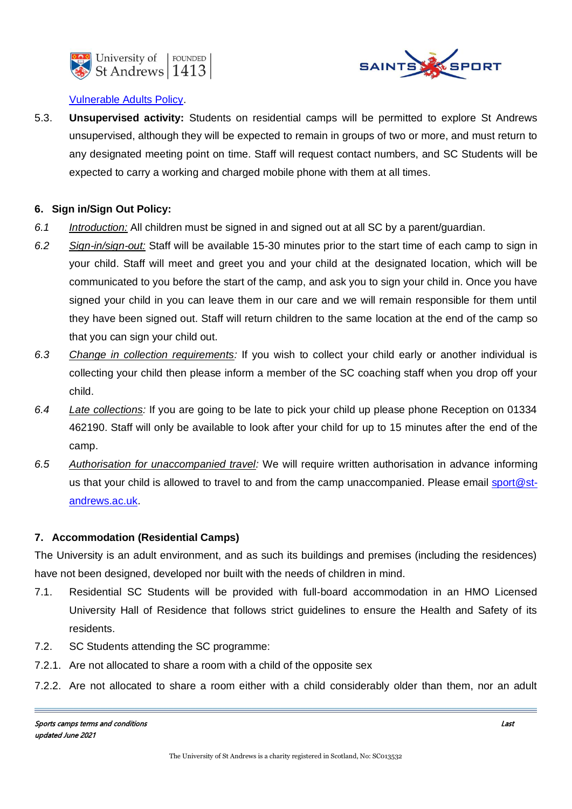



# [Vulnerable Adults Policy.](https://www.st-andrews.ac.uk/media/saints-sport/documents/termsconditions/1.%20Protection%20of%20children.pdf)

5.3. **Unsupervised activity:** Students on residential camps will be permitted to explore St Andrews unsupervised, although they will be expected to remain in groups of two or more, and must return to any designated meeting point on time. Staff will request contact numbers, and SC Students will be expected to carry a working and charged mobile phone with them at all times.

# **6. Sign in/Sign Out Policy:**

- *6.1 Introduction:* All children must be signed in and signed out at all SC by a parent/guardian.
- *6.2 Sign-in/sign-out:* Staff will be available 15-30 minutes prior to the start time of each camp to sign in your child. Staff will meet and greet you and your child at the designated location, which will be communicated to you before the start of the camp, and ask you to sign your child in. Once you have signed your child in you can leave them in our care and we will remain responsible for them until they have been signed out. Staff will return children to the same location at the end of the camp so that you can sign your child out.
- *6.3 Change in collection requirements:* If you wish to collect your child early or another individual is collecting your child then please inform a member of the SC coaching staff when you drop off your child.
- *6.4 Late collections:* If you are going to be late to pick your child up please phone Reception on 01334 462190. Staff will only be available to look after your child for up to 15 minutes after the end of the camp.
- *6.5 Authorisation for unaccompanied travel:* We will require written authorisation in advance informing us that your child is allowed to travel to and from the camp unaccompanied. Please email [sport@st](mailto:sport@st-andrews.ac.uk)[andrews.ac.uk.](mailto:sport@st-andrews.ac.uk)

# **7. Accommodation (Residential Camps)**

The University is an adult environment, and as such its buildings and premises (including the residences) have not been designed, developed nor built with the needs of children in mind.

- 7.1. Residential SC Students will be provided with full-board accommodation in an HMO Licensed University Hall of Residence that follows strict guidelines to ensure the Health and Safety of its residents.
- 7.2. SC Students attending the SC programme:
- 7.2.1. Are not allocated to share a room with a child of the opposite sex
- 7.2.2. Are not allocated to share a room either with a child considerably older than them, nor an adult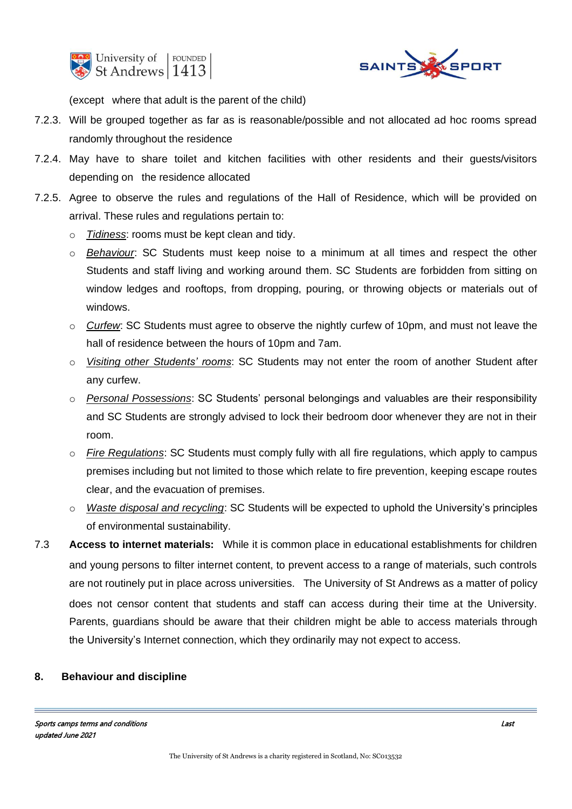



(except where that adult is the parent of the child)

- 7.2.3. Will be grouped together as far as is reasonable/possible and not allocated ad hoc rooms spread randomly throughout the residence
- 7.2.4. May have to share toilet and kitchen facilities with other residents and their guests/visitors depending on the residence allocated
- 7.2.5. Agree to observe the rules and regulations of the Hall of Residence, which will be provided on arrival. These rules and regulations pertain to:
	- o *Tidiness*: rooms must be kept clean and tidy.
	- o *Behaviour*: SC Students must keep noise to a minimum at all times and respect the other Students and staff living and working around them. SC Students are forbidden from sitting on window ledges and rooftops, from dropping, pouring, or throwing objects or materials out of windows.
	- o *Curfew*: SC Students must agree to observe the nightly curfew of 10pm, and must not leave the hall of residence between the hours of 10pm and 7am.
	- o *Visiting other Students' rooms*: SC Students may not enter the room of another Student after any curfew.
	- o *Personal Possessions*: SC Students' personal belongings and valuables are their responsibility and SC Students are strongly advised to lock their bedroom door whenever they are not in their room.
	- o *Fire Regulations*: SC Students must comply fully with all fire regulations, which apply to campus premises including but not limited to those which relate to fire prevention, keeping escape routes clear, and the evacuation of premises.
	- o *Waste disposal and recycling*: SC Students will be expected to uphold the University's principles of environmental sustainability.
- 7.3 **Access to internet materials:** While it is common place in educational establishments for children and young persons to filter internet content, to prevent access to a range of materials, such controls are not routinely put in place across universities. The University of St Andrews as a matter of policy does not censor content that students and staff can access during their time at the University. Parents, guardians should be aware that their children might be able to access materials through the University's Internet connection, which they ordinarily may not expect to access.

#### **8. Behaviour and discipline**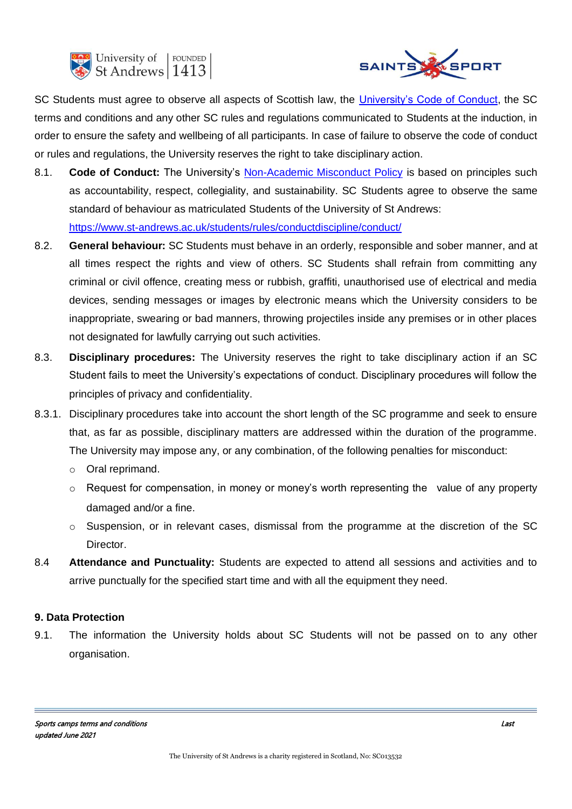



SC Students must agree to observe all aspects of Scottish law, the [University's Code of Conduct,](https://www.st-andrews.ac.uk/students/rules/conductdiscipline/conduct/) the SC terms and conditions and any other SC rules and regulations communicated to Students at the induction, in order to ensure the safety and wellbeing of all participants. In case of failure to observe the code of conduct or rules and regulations, the University reserves the right to take disciplinary action.

- 8.1. **Code of Conduct:** The University's [Non-Academic Misconduct Policy](https://www.st-andrews.ac.uk/media/student-services/documents/Non-Academic%20Misconduct%20Policy.pdf) is based on principles such as accountability, respect, collegiality, and sustainability. SC Students agree to observe the same standard of behaviour as matriculated Students of the University of St Andrews: <https://www.st-andrews.ac.uk/students/rules/conductdiscipline/conduct/>
- 8.2. **General behaviour:** SC Students must behave in an orderly, responsible and sober manner, and at all times respect the rights and view of others. SC Students shall refrain from committing any criminal or civil offence, creating mess or rubbish, graffiti, unauthorised use of electrical and media devices, sending messages or images by electronic means which the University considers to be inappropriate, swearing or bad manners, throwing projectiles inside any premises or in other places not designated for lawfully carrying out such activities.
- 8.3. **Disciplinary procedures:** The University reserves the right to take disciplinary action if an SC Student fails to meet the University's expectations of conduct. Disciplinary procedures will follow the principles of privacy and confidentiality.
- 8.3.1. Disciplinary procedures take into account the short length of the SC programme and seek to ensure that, as far as possible, disciplinary matters are addressed within the duration of the programme. The University may impose any, or any combination, of the following penalties for misconduct:
	- o Oral reprimand.
	- o Request for compensation, in money or money's worth representing the value of any property damaged and/or a fine.
	- $\circ$  Suspension, or in relevant cases, dismissal from the programme at the discretion of the SC Director.
- 8.4 **Attendance and Punctuality:** Students are expected to attend all sessions and activities and to arrive punctually for the specified start time and with all the equipment they need.

# **9. Data Protection**

9.1. The information the University holds about SC Students will not be passed on to any other organisation.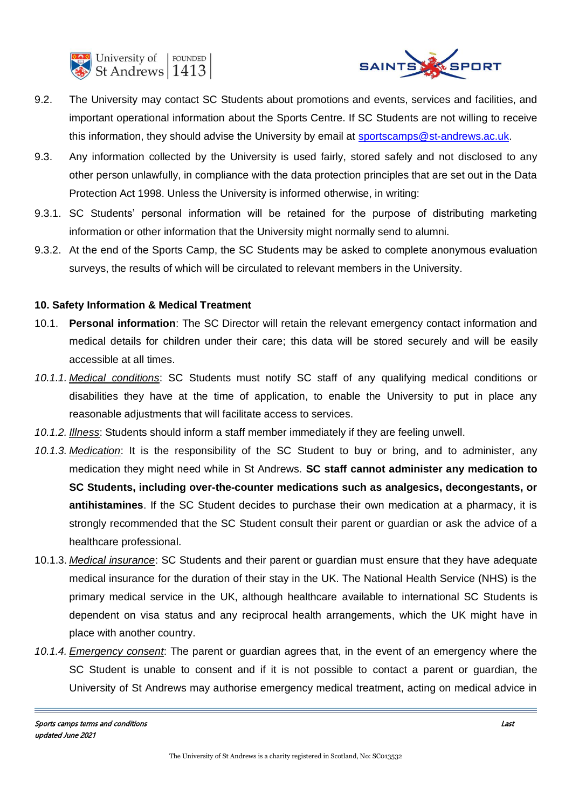



- 9.2. The University may contact SC Students about promotions and events, services and facilities, and important operational information about the Sports Centre. If SC Students are not willing to receive this information, they should advise the University by email at [sportscamps@st-andrews.ac.uk.](mailto:sportscamps@st-andrews.ac.uk)
- 9.3. Any information collected by the University is used fairly, stored safely and not disclosed to any other person unlawfully, in compliance with the data protection principles that are set out in the Data Protection Act 1998. Unless the University is informed otherwise, in writing:
- 9.3.1. SC Students' personal information will be retained for the purpose of distributing marketing information or other information that the University might normally send to alumni.
- 9.3.2. At the end of the Sports Camp, the SC Students may be asked to complete anonymous evaluation surveys, the results of which will be circulated to relevant members in the University.

## **10. Safety Information & Medical Treatment**

- 10.1. **Personal information**: The SC Director will retain the relevant emergency contact information and medical details for children under their care; this data will be stored securely and will be easily accessible at all times.
- *10.1.1. Medical conditions*: SC Students must notify SC staff of any qualifying medical conditions or disabilities they have at the time of application, to enable the University to put in place any reasonable adjustments that will facilitate access to services.
- *10.1.2. Illness*: Students should inform a staff member immediately if they are feeling unwell.
- *10.1.3. Medication*: It is the responsibility of the SC Student to buy or bring, and to administer, any medication they might need while in St Andrews. **SC staff cannot administer any medication to SC Students, including over-the-counter medications such as analgesics, decongestants, or antihistamines**. If the SC Student decides to purchase their own medication at a pharmacy, it is strongly recommended that the SC Student consult their parent or guardian or ask the advice of a healthcare professional.
- 10.1.3. *Medical insurance*: SC Students and their parent or guardian must ensure that they have adequate medical insurance for the duration of their stay in the UK. The National Health Service (NHS) is the primary medical service in the UK, although healthcare available to international SC Students is dependent on visa status and any reciprocal health arrangements, which the UK might have in place with another country.
- *10.1.4. Emergency consent*: The parent or guardian agrees that, in the event of an emergency where the SC Student is unable to consent and if it is not possible to contact a parent or guardian, the University of St Andrews may authorise emergency medical treatment, acting on medical advice in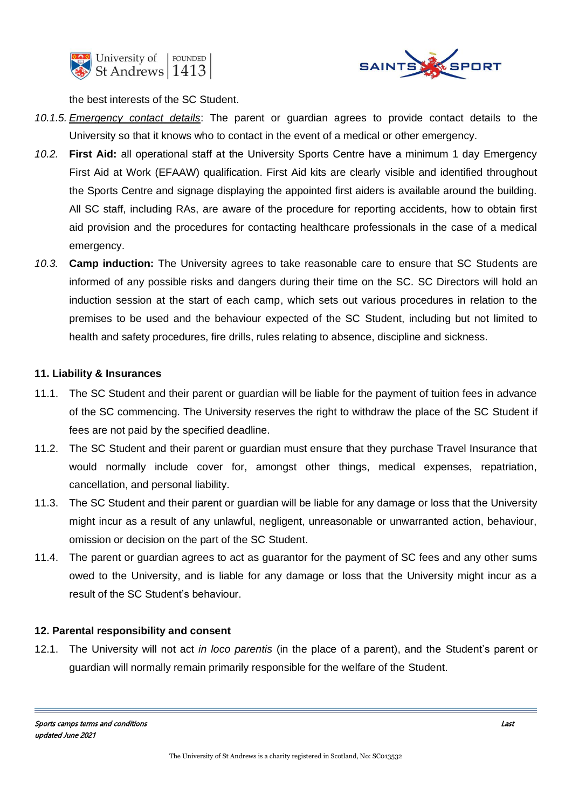



the best interests of the SC Student.

- *10.1.5. Emergency contact details*: The parent or guardian agrees to provide contact details to the University so that it knows who to contact in the event of a medical or other emergency.
- *10.2.* **First Aid:** all operational staff at the University Sports Centre have a minimum 1 day Emergency First Aid at Work (EFAAW) qualification. First Aid kits are clearly visible and identified throughout the Sports Centre and signage displaying the appointed first aiders is available around the building. All SC staff, including RAs, are aware of the procedure for reporting accidents, how to obtain first aid provision and the procedures for contacting healthcare professionals in the case of a medical emergency.
- *10.3.* **Camp induction:** The University agrees to take reasonable care to ensure that SC Students are informed of any possible risks and dangers during their time on the SC. SC Directors will hold an induction session at the start of each camp, which sets out various procedures in relation to the premises to be used and the behaviour expected of the SC Student, including but not limited to health and safety procedures, fire drills, rules relating to absence, discipline and sickness.

# **11. Liability & Insurances**

- 11.1. The SC Student and their parent or guardian will be liable for the payment of tuition fees in advance of the SC commencing. The University reserves the right to withdraw the place of the SC Student if fees are not paid by the specified deadline.
- 11.2. The SC Student and their parent or guardian must ensure that they purchase Travel Insurance that would normally include cover for, amongst other things, medical expenses, repatriation, cancellation, and personal liability.
- 11.3. The SC Student and their parent or guardian will be liable for any damage or loss that the University might incur as a result of any unlawful, negligent, unreasonable or unwarranted action, behaviour, omission or decision on the part of the SC Student.
- 11.4. The parent or guardian agrees to act as guarantor for the payment of SC fees and any other sums owed to the University, and is liable for any damage or loss that the University might incur as a result of the SC Student's behaviour.

# **12. Parental responsibility and consent**

12.1. The University will not act *in loco parentis* (in the place of a parent), and the Student's parent or guardian will normally remain primarily responsible for the welfare of the Student.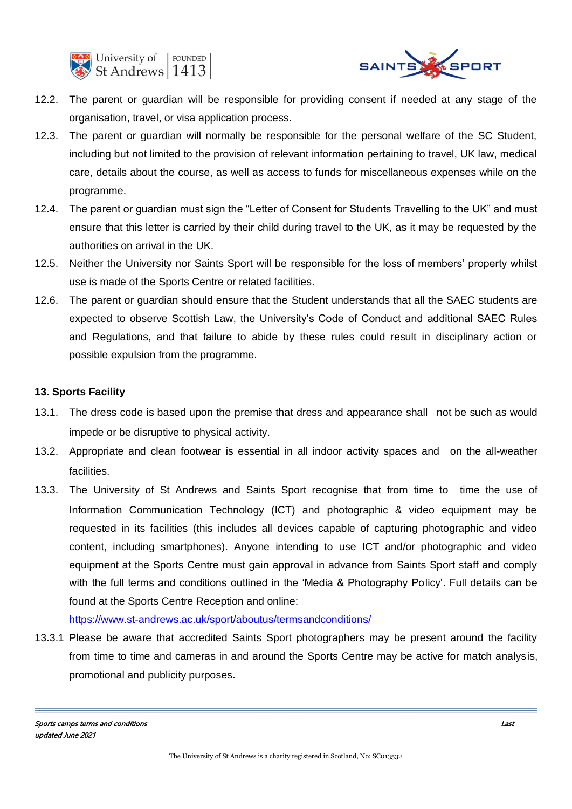



- 12.2. The parent or guardian will be responsible for providing consent if needed at any stage of the organisation, travel, or visa application process.
- 12.3. The parent or guardian will normally be responsible for the personal welfare of the SC Student, including but not limited to the provision of relevant information pertaining to travel, UK law, medical care, details about the course, as well as access to funds for miscellaneous expenses while on the programme.
- 12.4. The parent or guardian must sign the "Letter of Consent for Students Travelling to the UK" and must ensure that this letter is carried by their child during travel to the UK, as it may be requested by the authorities on arrival in the UK.
- 12.5. Neither the University nor Saints Sport will be responsible for the loss of members' property whilst use is made of the Sports Centre or related facilities.
- 12.6. The parent or guardian should ensure that the Student understands that all the SAEC students are expected to observe Scottish Law, the University's Code of Conduct and additional SAEC Rules and Regulations, and that failure to abide by these rules could result in disciplinary action or possible expulsion from the programme.

# **13. Sports Facility**

- 13.1. The dress code is based upon the premise that dress and appearance shall not be such as would impede or be disruptive to physical activity.
- 13.2. Appropriate and clean footwear is essential in all indoor activity spaces and on the all-weather facilities.
- 13.3. The University of St Andrews and Saints Sport recognise that from time to time the use of Information Communication Technology (ICT) and photographic & video equipment may be requested in its facilities (this includes all devices capable of capturing photographic and video content, including smartphones). Anyone intending to use ICT and/or photographic and video equipment at the Sports Centre must gain approval in advance from Saints Sport staff and comply with the full terms and conditions outlined in the 'Media & Photography Policy'. Full details can be found at the Sports Centre Reception and online:

## <https://www.st-andrews.ac.uk/sport/aboutus/termsandconditions/>

13.3.1 Please be aware that accredited Saints Sport photographers may be present around the facility from time to time and cameras in and around the Sports Centre may be active for match analysis, promotional and publicity purposes.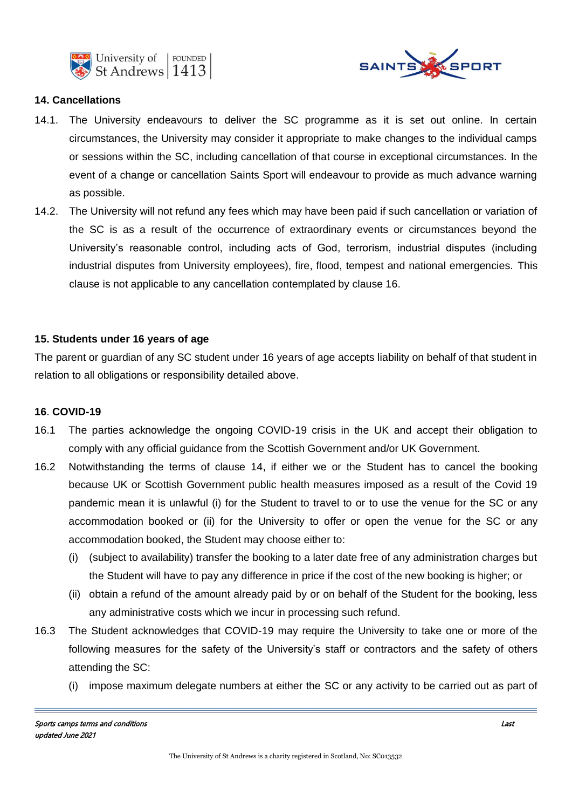



## **14. Cancellations**

- 14.1. The University endeavours to deliver the SC programme as it is set out online. In certain circumstances, the University may consider it appropriate to make changes to the individual camps or sessions within the SC, including cancellation of that course in exceptional circumstances. In the event of a change or cancellation Saints Sport will endeavour to provide as much advance warning as possible.
- 14.2. The University will not refund any fees which may have been paid if such cancellation or variation of the SC is as a result of the occurrence of extraordinary events or circumstances beyond the University's reasonable control, including acts of God, terrorism, industrial disputes (including industrial disputes from University employees), fire, flood, tempest and national emergencies. This clause is not applicable to any cancellation contemplated by clause 16.

# **15. Students under 16 years of age**

The parent or guardian of any SC student under 16 years of age accepts liability on behalf of that student in relation to all obligations or responsibility detailed above.

#### **16**. **COVID-19**

- 16.1 The parties acknowledge the ongoing COVID-19 crisis in the UK and accept their obligation to comply with any official guidance from the Scottish Government and/or UK Government.
- 16.2 Notwithstanding the terms of clause 14, if either we or the Student has to cancel the booking because UK or Scottish Government public health measures imposed as a result of the Covid 19 pandemic mean it is unlawful (i) for the Student to travel to or to use the venue for the SC or any accommodation booked or (ii) for the University to offer or open the venue for the SC or any accommodation booked, the Student may choose either to:
	- (i) (subject to availability) transfer the booking to a later date free of any administration charges but the Student will have to pay any difference in price if the cost of the new booking is higher; or
	- (ii) obtain a refund of the amount already paid by or on behalf of the Student for the booking, less any administrative costs which we incur in processing such refund.
- 16.3 The Student acknowledges that COVID-19 may require the University to take one or more of the following measures for the safety of the University's staff or contractors and the safety of others attending the SC:
	- (i) impose maximum delegate numbers at either the SC or any activity to be carried out as part of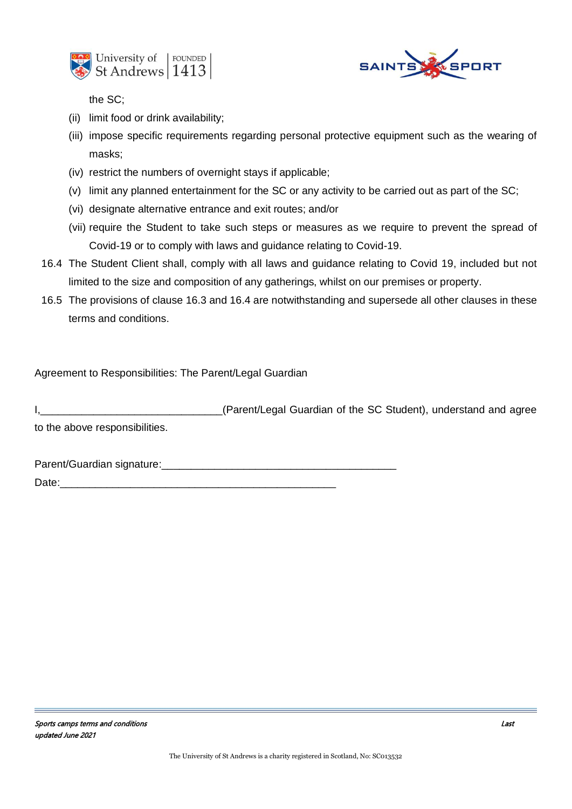



the SC;

- (ii) limit food or drink availability;
- (iii) impose specific requirements regarding personal protective equipment such as the wearing of masks;
- (iv) restrict the numbers of overnight stays if applicable;
- (v) limit any planned entertainment for the SC or any activity to be carried out as part of the SC;
- (vi) designate alternative entrance and exit routes; and/or
- (vii) require the Student to take such steps or measures as we require to prevent the spread of Covid-19 or to comply with laws and guidance relating to Covid-19.
- 16.4 The Student Client shall, comply with all laws and guidance relating to Covid 19, included but not limited to the size and composition of any gatherings, whilst on our premises or property.
- 16.5 The provisions of clause 16.3 and 16.4 are notwithstanding and supersede all other clauses in these terms and conditions.

Agreement to Responsibilities: The Parent/Legal Guardian

I,\_\_\_\_\_\_\_\_\_\_\_\_\_\_\_\_\_\_\_\_\_\_\_\_\_\_\_\_\_\_\_(Parent/Legal Guardian of the SC Student), understand and agree to the above responsibilities.

Parent/Guardian signature:\_\_\_\_\_\_\_\_\_\_\_\_\_\_\_\_\_\_\_\_\_\_\_\_\_\_\_\_\_\_\_\_\_\_\_\_\_\_\_\_

Date: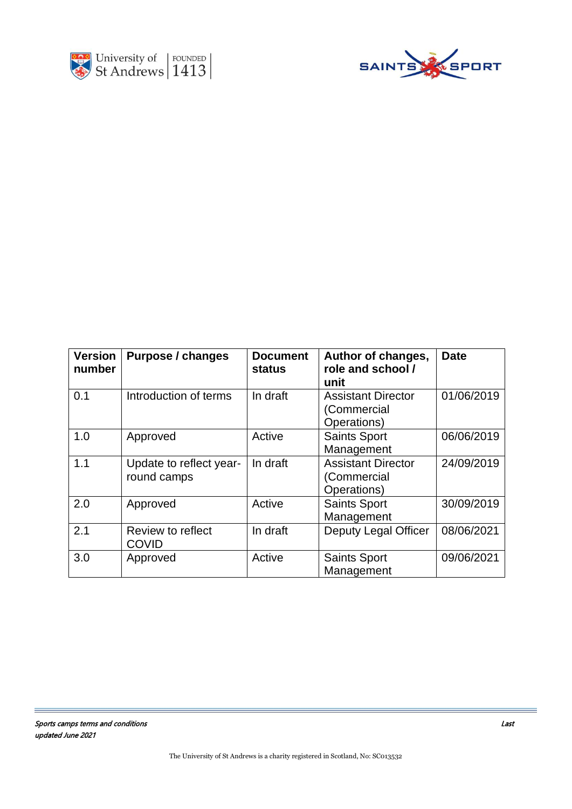



| <b>Version</b><br>number | <b>Purpose / changes</b>               | <b>Document</b><br><b>status</b> | Author of changes,<br>role and school /<br>unit         | <b>Date</b> |
|--------------------------|----------------------------------------|----------------------------------|---------------------------------------------------------|-------------|
| 0.1                      | Introduction of terms                  | In draft                         | <b>Assistant Director</b><br>(Commercial<br>Operations) | 01/06/2019  |
| 1.0                      | Approved                               | Active                           | <b>Saints Sport</b><br>Management                       | 06/06/2019  |
| 1.1                      | Update to reflect year-<br>round camps | In draft                         | <b>Assistant Director</b><br>(Commercial<br>Operations) | 24/09/2019  |
| 2.0                      | Approved                               | Active                           | <b>Saints Sport</b><br>Management                       | 30/09/2019  |
| 2.1                      | Review to reflect<br><b>COVID</b>      | In draft                         | <b>Deputy Legal Officer</b>                             | 08/06/2021  |
| 3.0                      | Approved                               | Active                           | <b>Saints Sport</b><br>Management                       | 09/06/2021  |